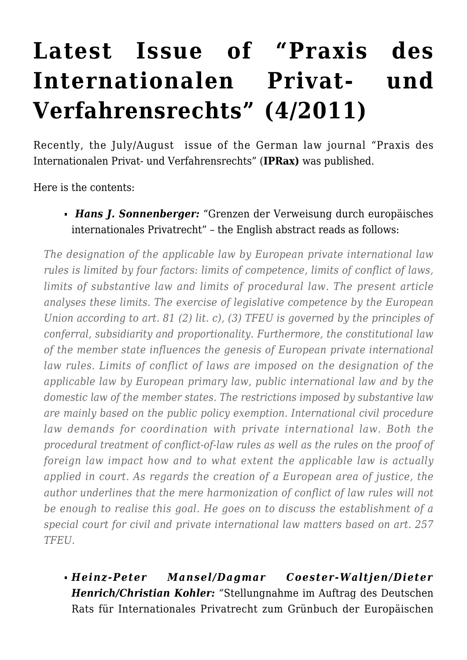# **[Latest Issue of "Praxis des](https://conflictoflaws.net/2011/latest-issue-of-%e2%80%9cpraxis-des-internationalen-privat-und-verfahrensrechts%e2%80%9d-42011/) [Internationalen Privat- und](https://conflictoflaws.net/2011/latest-issue-of-%e2%80%9cpraxis-des-internationalen-privat-und-verfahrensrechts%e2%80%9d-42011/) [Verfahrensrechts" \(4/2011\)](https://conflictoflaws.net/2011/latest-issue-of-%e2%80%9cpraxis-des-internationalen-privat-und-verfahrensrechts%e2%80%9d-42011/)**

Recently, the July/August issue of the German law journal "Praxis des Internationalen Privat- und Verfahrensrechts" (**[IPRax\)](http://www.iprax.de/)** was published.

Here is the contents:

*Hans J. Sonnenberger:* "Grenzen der Verweisung durch europäisches internationales Privatrecht" – the English abstract reads as follows:

*The designation of the applicable law by European private international law rules is limited by four factors: limits of competence, limits of conflict of laws, limits of substantive law and limits of procedural law. The present article analyses these limits. The exercise of legislative competence by the European Union according to art. 81 (2) lit. c), (3) TFEU is governed by the principles of conferral, subsidiarity and proportionality. Furthermore, the constitutional law of the member state influences the genesis of European private international law rules. Limits of conflict of laws are imposed on the designation of the applicable law by European primary law, public international law and by the domestic law of the member states. The restrictions imposed by substantive law are mainly based on the public policy exemption. International civil procedure law demands for coordination with private international law. Both the procedural treatment of conflict-of-law rules as well as the rules on the proof of foreign law impact how and to what extent the applicable law is actually applied in court. As regards the creation of a European area of justice, the author underlines that the mere harmonization of conflict of law rules will not be enough to realise this goal. He goes on to discuss the establishment of a special court for civil and private international law matters based on art. 257 TFEU.*

*Heinz-Peter Mansel/Dagmar Coester-Waltjen/Dieter Henrich/Christian Kohler: "*Stellungnahme im Auftrag des Deutschen Rats für Internationales Privatrecht zum Grünbuch der Europäischen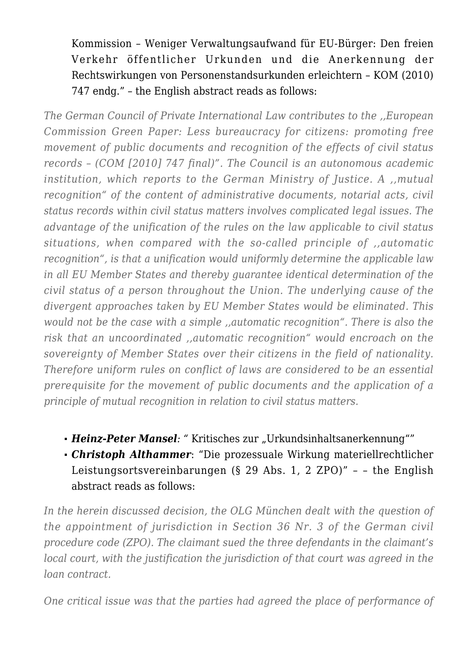Kommission – Weniger Verwaltungsaufwand für EU-Bürger: Den freien Verkehr öffentlicher Urkunden und die Anerkennung der Rechtswirkungen von Personenstandsurkunden erleichtern – KOM (2010) 747 endg." – the English abstract reads as follows:

*The German Council of Private International Law contributes to the ,,European Commission Green Paper: Less bureaucracy for citizens: promoting free movement of public documents and recognition of the effects of civil status records – (COM [2010] 747 final)". The Council is an autonomous academic institution, which reports to the German Ministry of Justice. A ,,mutual recognition" of the content of administrative documents, notarial acts, civil status records within civil status matters involves complicated legal issues. The advantage of the unification of the rules on the law applicable to civil status situations, when compared with the so-called principle of ,,automatic recognition", is that a unification would uniformly determine the applicable law in all EU Member States and thereby guarantee identical determination of the civil status of a person throughout the Union. The underlying cause of the divergent approaches taken by EU Member States would be eliminated. This would not be the case with a simple ,,automatic recognition". There is also the risk that an uncoordinated ,,automatic recognition" would encroach on the sovereignty of Member States over their citizens in the field of nationality. Therefore uniform rules on conflict of laws are considered to be an essential prerequisite for the movement of public documents and the application of a principle of mutual recognition in relation to civil status matters.*

- *Heinz-Peter Mansel:* "Kritisches zur "Urkundsinhaltsanerkennung""
- *Christoph Althammer*: "Die prozessuale Wirkung materiellrechtlicher Leistungsortsvereinbarungen (§ 29 Abs. 1, 2 ZPO)" – – the English abstract reads as follows:

*In the herein discussed decision, the OLG München dealt with the question of the appointment of jurisdiction in Section 36 Nr. 3 of the German civil procedure code (ZPO). The claimant sued the three defendants in the claimant's local court, with the justification the jurisdiction of that court was agreed in the loan contract.*

*One critical issue was that the parties had agreed the place of performance of*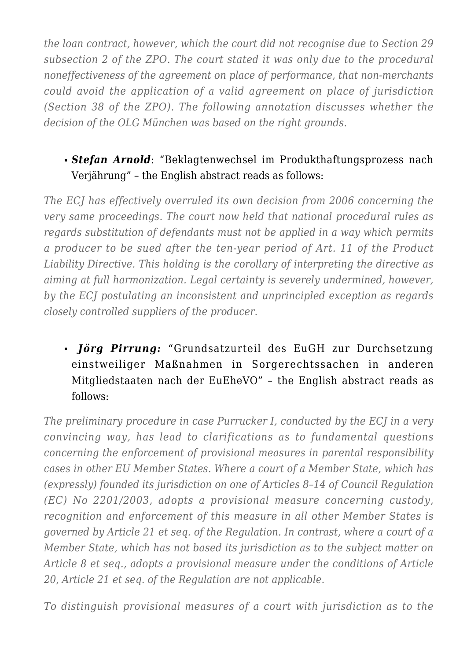*the loan contract, however, which the court did not recognise due to Section 29 subsection 2 of the ZPO. The court stated it was only due to the procedural noneffectiveness of the agreement on place of performance, that non-merchants could avoid the application of a valid agreement on place of jurisdiction (Section 38 of the ZPO). The following annotation discusses whether the decision of the OLG München was based on the right grounds.*

#### *Stefan Arnold*: "Beklagtenwechsel im Produkthaftungsprozess nach Verjährung" – the English abstract reads as follows:

*The ECJ has effectively overruled its own decision from 2006 concerning the very same proceedings. The court now held that national procedural rules as regards substitution of defendants must not be applied in a way which permits a producer to be sued after the ten-year period of Art. 11 of the Product Liability Directive. This holding is the corollary of interpreting the directive as aiming at full harmonization. Legal certainty is severely undermined, however, by the ECJ postulating an inconsistent and unprincipled exception as regards closely controlled suppliers of the producer.*

*Jörg Pirrung:* "Grundsatzurteil des EuGH zur Durchsetzung einstweiliger Maßnahmen in Sorgerechtssachen in anderen Mitgliedstaaten nach der EuEheVO" – the English abstract reads as follows:

*The preliminary procedure in case Purrucker I, conducted by the ECJ in a very convincing way, has lead to clarifications as to fundamental questions concerning the enforcement of provisional measures in parental responsibility cases in other EU Member States. Where a court of a Member State, which has (expressly) founded its jurisdiction on one of Articles 8–14 of Council Regulation (EC) No 2201/2003, adopts a provisional measure concerning custody, recognition and enforcement of this measure in all other Member States is governed by Article 21 et seq. of the Regulation. In contrast, where a court of a Member State, which has not based its jurisdiction as to the subject matter on Article 8 et seq., adopts a provisional measure under the conditions of Article 20, Article 21 et seq. of the Regulation are not applicable.*

*To distinguish provisional measures of a court with jurisdiction as to the*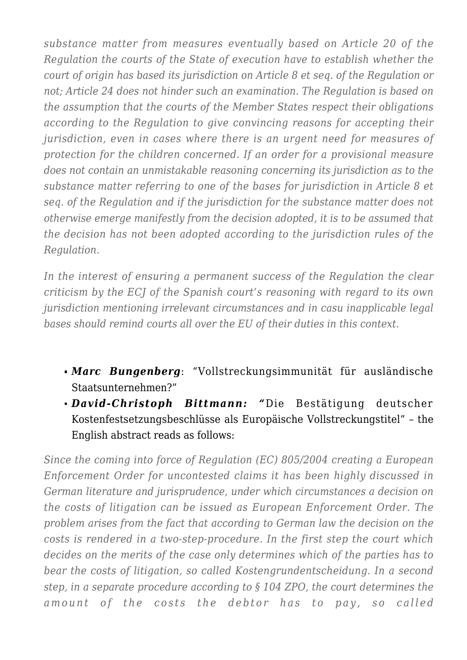*substance matter from measures eventually based on Article 20 of the Regulation the courts of the State of execution have to establish whether the court of origin has based its jurisdiction on Article 8 et seq. of the Regulation or not; Article 24 does not hinder such an examination. The Regulation is based on the assumption that the courts of the Member States respect their obligations according to the Regulation to give convincing reasons for accepting their jurisdiction, even in cases where there is an urgent need for measures of protection for the children concerned. If an order for a provisional measure does not contain an unmistakable reasoning concerning its jurisdiction as to the substance matter referring to one of the bases for jurisdiction in Article 8 et seq. of the Regulation and if the jurisdiction for the substance matter does not otherwise emerge manifestly from the decision adopted, it is to be assumed that the decision has not been adopted according to the jurisdiction rules of the Regulation.*

*In the interest of ensuring a permanent success of the Regulation the clear criticism by the ECJ of the Spanish court's reasoning with regard to its own jurisdiction mentioning irrelevant circumstances and in casu inapplicable legal bases should remind courts all over the EU of their duties in this context.*

- *Marc Bungenberg*: "Vollstreckungsimmunität für ausländische Staatsunternehmen?"
- *David-Christoph Bittmann: "*Die Bestätigung deutscher Kostenfestsetzungsbeschlüsse als Europäische Vollstreckungstitel" – the English abstract reads as follows:

*Since the coming into force of Regulation (EC) 805/2004 creating a European Enforcement Order for uncontested claims it has been highly discussed in German literature and jurisprudence, under which circumstances a decision on the costs of litigation can be issued as European Enforcement Order. The problem arises from the fact that according to German law the decision on the costs is rendered in a two-step-procedure. In the first step the court which decides on the merits of the case only determines which of the parties has to bear the costs of litigation, so called Kostengrundentscheidung. In a second step, in a separate procedure according to § 104 ZPO, the court determines the amount of the costs the debtor has to pay, so called*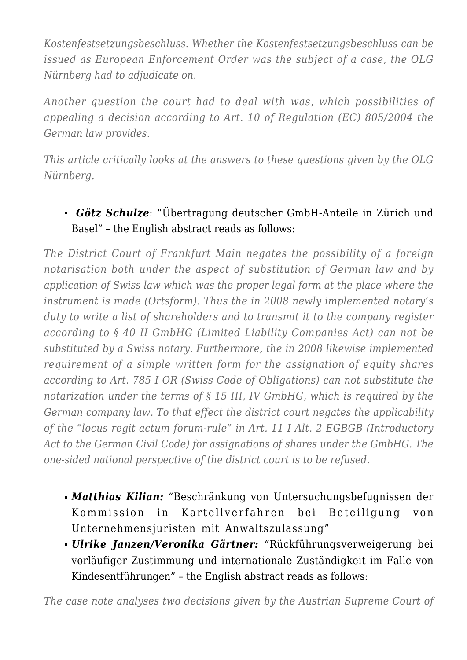*Kostenfestsetzungsbeschluss. Whether the Kostenfestsetzungsbeschluss can be issued as European Enforcement Order was the subject of a case, the OLG Nürnberg had to adjudicate on.*

*Another question the court had to deal with was, which possibilities of appealing a decision according to Art. 10 of Regulation (EC) 805/2004 the German law provides.*

*This article critically looks at the answers to these questions given by the OLG Nürnberg.*

## *Götz Schulze*: "Übertragung deutscher GmbH-Anteile in Zürich und Basel" – the English abstract reads as follows:

*The District Court of Frankfurt Main negates the possibility of a foreign notarisation both under the aspect of substitution of German law and by application of Swiss law which was the proper legal form at the place where the instrument is made (Ortsform). Thus the in 2008 newly implemented notary's duty to write a list of shareholders and to transmit it to the company register according to § 40 II GmbHG (Limited Liability Companies Act) can not be substituted by a Swiss notary. Furthermore, the in 2008 likewise implemented requirement of a simple written form for the assignation of equity shares according to Art. 785 I OR (Swiss Code of Obligations) can not substitute the notarization under the terms of § 15 III, IV GmbHG, which is required by the German company law. To that effect the district court negates the applicability of the "locus regit actum forum-rule" in Art. 11 I Alt. 2 EGBGB (Introductory Act to the German Civil Code) for assignations of shares under the GmbHG. The one-sided national perspective of the district court is to be refused.*

- *Matthias Kilian: "*Beschränkung von Untersuchungsbefugnissen der Kommission in Kartellverfahren bei Beteiligung von Unternehmensjuristen mit Anwaltszulassung"
- *Ulrike Janzen/Veronika Gärtner:* "Rückführungsverweigerung bei vorläufiger Zustimmung und internationale Zuständigkeit im Falle von Kindesentführungen" – the English abstract reads as follows:

*The case note analyses two decisions given by the Austrian Supreme Court of*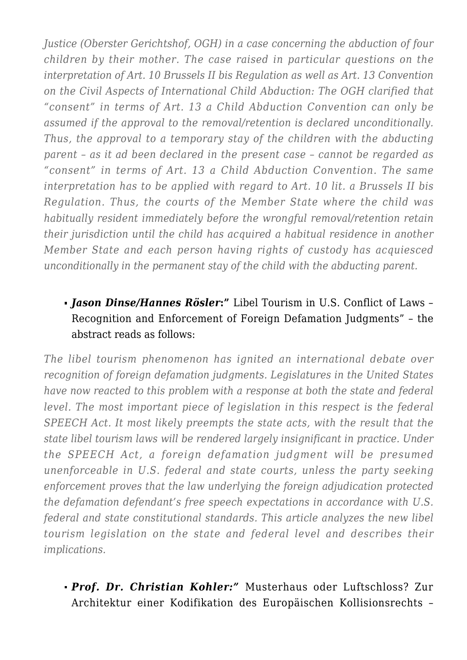*Justice (Oberster Gerichtshof, OGH) in a case concerning the abduction of four children by their mother. The case raised in particular questions on the interpretation of Art. 10 Brussels II bis Regulation as well as Art. 13 Convention on the Civil Aspects of International Child Abduction: The OGH clarified that "consent" in terms of Art. 13 a Child Abduction Convention can only be assumed if the approval to the removal/retention is declared unconditionally. Thus, the approval to a temporary stay of the children with the abducting parent – as it ad been declared in the present case – cannot be regarded as "consent" in terms of Art. 13 a Child Abduction Convention. The same interpretation has to be applied with regard to Art. 10 lit. a Brussels II bis Regulation. Thus, the courts of the Member State where the child was habitually resident immediately before the wrongful removal/retention retain their jurisdiction until the child has acquired a habitual residence in another Member State and each person having rights of custody has acquiesced unconditionally in the permanent stay of the child with the abducting parent.*

## *Jason Dinse/Hannes Rösler***:"** Libel Tourism in U.S. Conflict of Laws – Recognition and Enforcement of Foreign Defamation Judgments" – the abstract reads as follows:

*The libel tourism phenomenon has ignited an international debate over recognition of foreign defamation judgments. Legislatures in the United States have now reacted to this problem with a response at both the state and federal level. The most important piece of legislation in this respect is the federal SPEECH Act. It most likely preempts the state acts, with the result that the state libel tourism laws will be rendered largely insignificant in practice. Under the SPEECH Act, a foreign defamation judgment will be presumed unenforceable in U.S. federal and state courts, unless the party seeking enforcement proves that the law underlying the foreign adjudication protected the defamation defendant's free speech expectations in accordance with U.S. federal and state constitutional standards. This article analyzes the new libel tourism legislation on the state and federal level and describes their implications.*

#### *Prof. Dr. Christian Kohler:"* Musterhaus oder Luftschloss? Zur Architektur einer Kodifikation des Europäischen Kollisionsrechts –